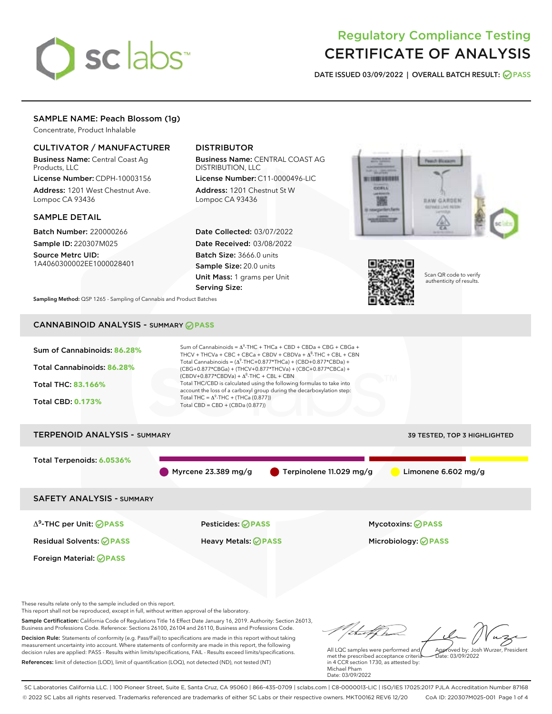

# Regulatory Compliance Testing CERTIFICATE OF ANALYSIS

DATE ISSUED 03/09/2022 | OVERALL BATCH RESULT: @ PASS

# SAMPLE NAME: Peach Blossom (1g)

Concentrate, Product Inhalable

# CULTIVATOR / MANUFACTURER

Business Name: Central Coast Ag Products, LLC

License Number: CDPH-10003156 Address: 1201 West Chestnut Ave. Lompoc CA 93436

#### SAMPLE DETAIL

Batch Number: 220000266 Sample ID: 220307M025

Source Metrc UID: 1A4060300002EE1000028401

# DISTRIBUTOR

Business Name: CENTRAL COAST AG DISTRIBUTION, LLC

License Number: C11-0000496-LIC Address: 1201 Chestnut St W Lompoc CA 93436

Date Collected: 03/07/2022 Date Received: 03/08/2022 Batch Size: 3666.0 units Sample Size: 20.0 units Unit Mass: 1 grams per Unit Serving Size:





Scan QR code to verify authenticity of results.

Sampling Method: QSP 1265 - Sampling of Cannabis and Product Batches

# CANNABINOID ANALYSIS - SUMMARY **PASS**



These results relate only to the sample included on this report.

This report shall not be reproduced, except in full, without written approval of the laboratory.

Sample Certification: California Code of Regulations Title 16 Effect Date January 16, 2019. Authority: Section 26013, Business and Professions Code. Reference: Sections 26100, 26104 and 26110, Business and Professions Code. Decision Rule: Statements of conformity (e.g. Pass/Fail) to specifications are made in this report without taking

measurement uncertainty into account. Where statements of conformity are made in this report, the following decision rules are applied: PASS - Results within limits/specifications, FAIL - Results exceed limits/specifications. References: limit of detection (LOD), limit of quantification (LOQ), not detected (ND), not tested (NT)

Approved by: Josh Wurzer, President

 $\frac{1}{2}$ ate: 03/09/2022

All LQC samples were performed and met the prescribed acceptance criteria in 4 CCR section 1730, as attested by: Michael Pham Date: 03/09/2022

SC Laboratories California LLC. | 100 Pioneer Street, Suite E, Santa Cruz, CA 95060 | 866-435-0709 | sclabs.com | C8-0000013-LIC | ISO/IES 17025:2017 PJLA Accreditation Number 87168 © 2022 SC Labs all rights reserved. Trademarks referenced are trademarks of either SC Labs or their respective owners. MKT00162 REV6 12/20 CoA ID: 220307M025-001 Page 1 of 4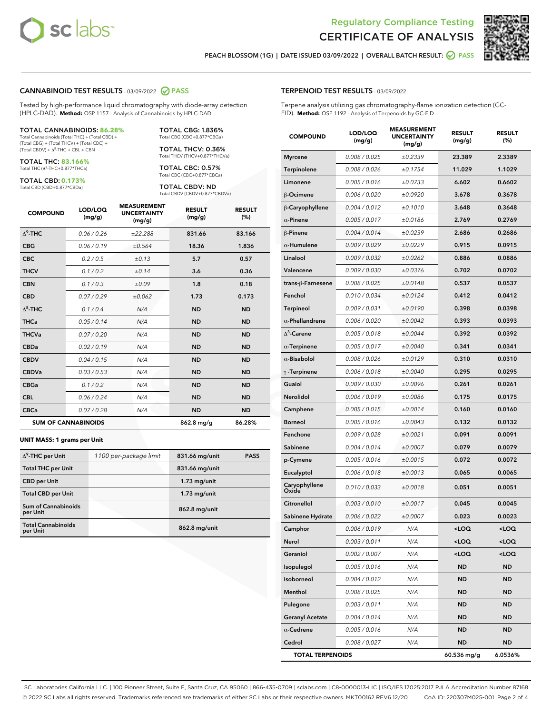



PEACH BLOSSOM (1G) | DATE ISSUED 03/09/2022 | OVERALL BATCH RESULT: 2 PASS

#### CANNABINOID TEST RESULTS - 03/09/2022 2 PASS

Tested by high-performance liquid chromatography with diode-array detection (HPLC-DAD). **Method:** QSP 1157 - Analysis of Cannabinoids by HPLC-DAD

#### TOTAL CANNABINOIDS: **86.28%** Total Cannabinoids (Total THC) + (Total CBD) +

(Total CBG) + (Total THCV) + (Total CBC) +  $(Total CBDV) +  $\Delta^8$ -THC + CBL + CBN$ 

TOTAL THC: **83.166%** Total THC (Δ<sup>9</sup> -THC+0.877\*THCa)

TOTAL CBD: **0.173%**

Total CBD (CBD+0.877\*CBDa)

TOTAL CBG: 1.836% Total CBG (CBG+0.877\*CBGa)

TOTAL THCV: 0.36% Total THCV (THCV+0.877\*THCVa)

TOTAL CBC: 0.57% Total CBC (CBC+0.877\*CBCa)

TOTAL CBDV: ND Total CBDV (CBDV+0.877\*CBDVa)

| <b>COMPOUND</b> | LOD/LOO<br>(mg/g)          | <b>MEASUREMENT</b><br><b>UNCERTAINTY</b><br>(mg/g) | <b>RESULT</b><br>(mg/g) | <b>RESULT</b><br>(%) |
|-----------------|----------------------------|----------------------------------------------------|-------------------------|----------------------|
| $\Delta^9$ -THC | 0.06/0.26                  | ±22.288                                            | 831.66                  | 83.166               |
| <b>CBG</b>      | 0.06/0.19                  | ±0.564                                             | 18.36                   | 1.836                |
| <b>CBC</b>      | 0.2 / 0.5                  | ±0.13                                              | 5.7                     | 0.57                 |
| <b>THCV</b>     | 0.1/0.2                    | ±0.14                                              | 3.6                     | 0.36                 |
| <b>CBN</b>      | 0.1/0.3                    | ±0.09                                              | 1.8                     | 0.18                 |
| <b>CBD</b>      | 0.07/0.29                  | ±0.062                                             | 1.73                    | 0.173                |
| $\Delta^8$ -THC | 0.1 / 0.4                  | N/A                                                | <b>ND</b>               | <b>ND</b>            |
| <b>THCa</b>     | 0.05/0.14                  | N/A                                                | <b>ND</b>               | <b>ND</b>            |
| <b>THCVa</b>    | 0.07 / 0.20                | N/A                                                | <b>ND</b>               | <b>ND</b>            |
| <b>CBDa</b>     | 0.02/0.19                  | N/A                                                | <b>ND</b>               | <b>ND</b>            |
| <b>CBDV</b>     | 0.04 / 0.15                | N/A                                                | <b>ND</b>               | <b>ND</b>            |
| <b>CBDVa</b>    | 0.03 / 0.53                | N/A                                                | <b>ND</b>               | <b>ND</b>            |
| <b>CBGa</b>     | 0.1/0.2                    | N/A                                                | <b>ND</b>               | <b>ND</b>            |
| <b>CBL</b>      | 0.06 / 0.24                | N/A                                                | <b>ND</b>               | <b>ND</b>            |
| <b>CBCa</b>     | 0.07/0.28                  | N/A                                                | <b>ND</b>               | <b>ND</b>            |
|                 | <b>SUM OF CANNABINOIDS</b> |                                                    | 862.8 mg/g              | 86.28%               |

#### **UNIT MASS: 1 grams per Unit**

| $\Delta^9$ -THC per Unit               | 1100 per-package limit | 831.66 mg/unit | <b>PASS</b> |
|----------------------------------------|------------------------|----------------|-------------|
| <b>Total THC per Unit</b>              |                        | 831.66 mg/unit |             |
| <b>CBD per Unit</b>                    |                        | $1.73$ mg/unit |             |
| <b>Total CBD per Unit</b>              |                        | $1.73$ mg/unit |             |
| <b>Sum of Cannabinoids</b><br>per Unit |                        | 862.8 mg/unit  |             |
| <b>Total Cannabinoids</b><br>per Unit  |                        | 862.8 mg/unit  |             |

#### TERPENOID TEST RESULTS - 03/09/2022

Terpene analysis utilizing gas chromatography-flame ionization detection (GC-FID). **Method:** QSP 1192 - Analysis of Terpenoids by GC-FID

| <b>COMPOUND</b>         | LOD/LOQ<br>(mg/g) | <b>MEASUREMENT</b><br><b>UNCERTAINTY</b><br>(mg/g) | <b>RESULT</b><br>(mg/g)                         | <b>RESULT</b><br>(%) |
|-------------------------|-------------------|----------------------------------------------------|-------------------------------------------------|----------------------|
| <b>Myrcene</b>          | 0.008 / 0.025     | ±0.2339                                            | 23.389                                          | 2.3389               |
| Terpinolene             | 0.008 / 0.026     | ±0.1754                                            | 11.029                                          | 1.1029               |
| Limonene                | 0.005 / 0.016     | ±0.0733                                            | 6.602                                           | 0.6602               |
| β-Ocimene               | 0.006 / 0.020     | ±0.0920                                            | 3.678                                           | 0.3678               |
| β-Caryophyllene         | 0.004 / 0.012     | ±0.1010                                            | 3.648                                           | 0.3648               |
| $\alpha$ -Pinene        | 0.005 / 0.017     | ±0.0186                                            | 2.769                                           | 0.2769               |
| β-Pinene                | 0.004 / 0.014     | ±0.0239                                            | 2.686                                           | 0.2686               |
| $\alpha$ -Humulene      | 0.009/0.029       | ±0.0229                                            | 0.915                                           | 0.0915               |
| Linalool                | 0.009 / 0.032     | ±0.0262                                            | 0.886                                           | 0.0886               |
| Valencene               | 0.009 / 0.030     | ±0.0376                                            | 0.702                                           | 0.0702               |
| trans-ß-Farnesene       | 0.008 / 0.025     | ±0.0148                                            | 0.537                                           | 0.0537               |
| Fenchol                 | 0.010 / 0.034     | ±0.0124                                            | 0.412                                           | 0.0412               |
| <b>Terpineol</b>        | 0.009 / 0.031     | ±0.0190                                            | 0.398                                           | 0.0398               |
| $\alpha$ -Phellandrene  | 0.006 / 0.020     | ±0.0042                                            | 0.393                                           | 0.0393               |
| $\Delta^3$ -Carene      | 0.005 / 0.018     | ±0.0044                                            | 0.392                                           | 0.0392               |
| $\alpha$ -Terpinene     | 0.005 / 0.017     | ±0.0040                                            | 0.341                                           | 0.0341               |
| $\alpha$ -Bisabolol     | 0.008 / 0.026     | ±0.0129                                            | 0.310                                           | 0.0310               |
| $\gamma$ -Terpinene     | 0.006 / 0.018     | ±0.0040                                            | 0.295                                           | 0.0295               |
| Guaiol                  | 0.009 / 0.030     | ±0.0096                                            | 0.261                                           | 0.0261               |
| Nerolidol               | 0.006 / 0.019     | ±0.0086                                            | 0.175                                           | 0.0175               |
| Camphene                | 0.005 / 0.015     | ±0.0014                                            | 0.160                                           | 0.0160               |
| <b>Borneol</b>          | 0.005 / 0.016     | ±0.0043                                            | 0.132                                           | 0.0132               |
| Fenchone                | 0.009 / 0.028     | ±0.0021                                            | 0.091                                           | 0.0091               |
| Sabinene                | 0.004 / 0.014     | ±0.0007                                            | 0.079                                           | 0.0079               |
| p-Cymene                | 0.005 / 0.016     | ±0.0015                                            | 0.072                                           | 0.0072               |
| Eucalyptol              | 0.006 / 0.018     | ±0.0013                                            | 0.065                                           | 0.0065               |
| Caryophyllene<br>Oxide  | 0.010 / 0.033     | ±0.0018                                            | 0.051                                           | 0.0051               |
| Citronellol             | 0.003 / 0.010     | ±0.0017                                            | 0.045                                           | 0.0045               |
| Sabinene Hydrate        | 0.006 / 0.022     | ±0.0007                                            | 0.023                                           | 0.0023               |
| Camphor                 | 0.006 / 0.019     | N/A                                                | $<$ LOQ                                         | $<$ LOQ              |
| Nerol                   | 0.003 / 0.011     | N/A                                                | <loq< th=""><th><loq< th=""></loq<></th></loq<> | <loq< th=""></loq<>  |
| Geraniol                | 0.002 / 0.007     | N/A                                                | <loq< th=""><th><loq< th=""></loq<></th></loq<> | <loq< th=""></loq<>  |
| Isopulegol              | 0.005 / 0.016     | N/A                                                | <b>ND</b>                                       | ND                   |
| Isoborneol              | 0.004 / 0.012     | N/A                                                | ND                                              | ND                   |
| Menthol                 | 0.008 / 0.025     | N/A                                                | ND                                              | ND                   |
| Pulegone                | 0.003 / 0.011     | N/A                                                | <b>ND</b>                                       | ND                   |
| <b>Geranyl Acetate</b>  | 0.004 / 0.014     | N/A                                                | ND                                              | ND                   |
| $\alpha$ -Cedrene       | 0.005 / 0.016     | N/A                                                | ND                                              | ND                   |
| Cedrol                  | 0.008 / 0.027     | N/A                                                | <b>ND</b>                                       | ND                   |
| <b>TOTAL TERPENOIDS</b> |                   |                                                    | 60.536 mg/g                                     | 6.0536%              |

SC Laboratories California LLC. | 100 Pioneer Street, Suite E, Santa Cruz, CA 95060 | 866-435-0709 | sclabs.com | C8-0000013-LIC | ISO/IES 17025:2017 PJLA Accreditation Number 87168 © 2022 SC Labs all rights reserved. Trademarks referenced are trademarks of either SC Labs or their respective owners. MKT00162 REV6 12/20 CoA ID: 220307M025-001 Page 2 of 4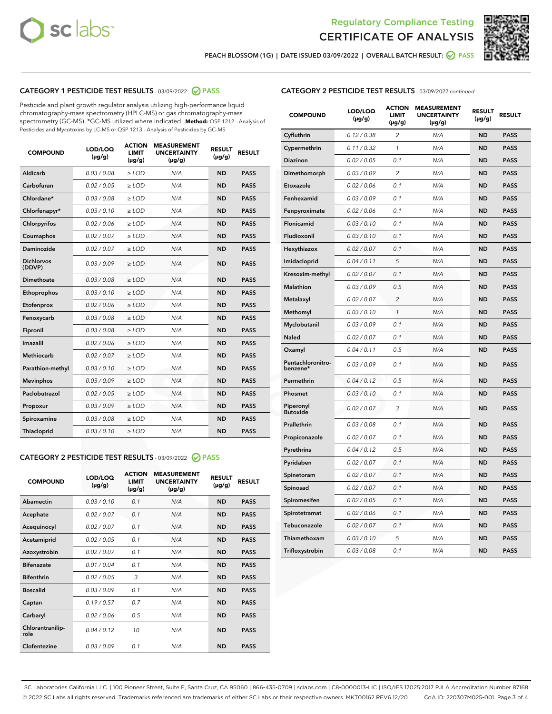



PEACH BLOSSOM (1G) | DATE ISSUED 03/09/2022 | OVERALL BATCH RESULT:  $\bigcirc$  PASS

# CATEGORY 1 PESTICIDE TEST RESULTS - 03/09/2022 2 PASS

Pesticide and plant growth regulator analysis utilizing high-performance liquid chromatography-mass spectrometry (HPLC-MS) or gas chromatography-mass spectrometry (GC-MS). \*GC-MS utilized where indicated. **Method:** QSP 1212 - Analysis of Pesticides and Mycotoxins by LC-MS or QSP 1213 - Analysis of Pesticides by GC-MS

| 0.03 / 0.08<br>Aldicarb<br>$\ge$ LOD<br>N/A<br><b>ND</b><br><b>PASS</b><br>Carbofuran<br>0.02 / 0.05<br>$\ge$ LOD<br>N/A<br><b>ND</b><br><b>PASS</b><br>Chlordane*<br>0.03 / 0.08<br>N/A<br><b>ND</b><br><b>PASS</b><br>$\ge$ LOD<br>Chlorfenapyr*<br>0.03/0.10<br><b>PASS</b><br>$\ge$ LOD<br>N/A<br><b>ND</b><br>Chlorpyrifos<br>0.02 / 0.06<br>$\ge$ LOD<br>N/A<br><b>ND</b><br><b>PASS</b><br>Coumaphos<br>0.02 / 0.07<br>$\ge$ LOD<br>N/A<br><b>ND</b><br><b>PASS</b><br>Daminozide<br>0.02 / 0.07<br>$\geq$ LOD<br>N/A<br><b>ND</b><br><b>PASS</b><br><b>Dichlorvos</b><br>0.03/0.09<br>N/A<br><b>ND</b><br><b>PASS</b><br>$\ge$ LOD<br>(DDVP)<br>Dimethoate<br>0.03/0.08<br>N/A<br><b>ND</b><br><b>PASS</b><br>$>$ LOD<br>Ethoprophos<br>0.03/0.10<br>N/A<br><b>ND</b><br><b>PASS</b><br>$\ge$ LOD<br>0.02 / 0.06<br>N/A<br><b>ND</b><br><b>PASS</b><br>Etofenprox<br>$\ge$ LOD<br>0.03/0.08<br>$>$ LOD<br>N/A<br><b>ND</b><br><b>PASS</b><br>Fenoxycarb<br>0.03 / 0.08<br><b>ND</b><br><b>PASS</b><br>Fipronil<br>$\ge$ LOD<br>N/A<br>Imazalil<br>0.02 / 0.06<br>N/A<br>$\ge$ LOD<br><b>ND</b><br><b>PASS</b><br><b>Methiocarb</b><br>0.02 / 0.07<br>$\ge$ LOD<br>N/A<br><b>ND</b><br><b>PASS</b><br><b>PASS</b><br>Parathion-methyl<br>0.03/0.10<br>N/A<br><b>ND</b><br>$\ge$ LOD<br>0.03/0.09<br>N/A<br><b>ND</b><br><b>PASS</b><br><b>Mevinphos</b><br>$\ge$ LOD<br>Paclobutrazol<br>0.02 / 0.05<br>N/A<br><b>ND</b><br><b>PASS</b><br>$\ge$ LOD<br>0.03/0.09<br>N/A<br><b>ND</b><br><b>PASS</b><br>$\ge$ LOD<br>Propoxur<br>0.03 / 0.08<br>N/A<br><b>ND</b><br>Spiroxamine<br>$\ge$ LOD<br><b>PASS</b><br><b>PASS</b><br>Thiacloprid<br>0.03/0.10<br>$>$ LOD<br>N/A<br><b>ND</b> | <b>COMPOUND</b> | LOD/LOQ<br>$(\mu g/g)$ | <b>ACTION</b><br><b>LIMIT</b><br>$(\mu g/g)$ | <b>MEASUREMENT</b><br><b>UNCERTAINTY</b><br>$(\mu g/g)$ | <b>RESULT</b><br>$(\mu g/g)$ | <b>RESULT</b> |
|----------------------------------------------------------------------------------------------------------------------------------------------------------------------------------------------------------------------------------------------------------------------------------------------------------------------------------------------------------------------------------------------------------------------------------------------------------------------------------------------------------------------------------------------------------------------------------------------------------------------------------------------------------------------------------------------------------------------------------------------------------------------------------------------------------------------------------------------------------------------------------------------------------------------------------------------------------------------------------------------------------------------------------------------------------------------------------------------------------------------------------------------------------------------------------------------------------------------------------------------------------------------------------------------------------------------------------------------------------------------------------------------------------------------------------------------------------------------------------------------------------------------------------------------------------------------------------------------------------------------------------------------------------------------------------------------|-----------------|------------------------|----------------------------------------------|---------------------------------------------------------|------------------------------|---------------|
|                                                                                                                                                                                                                                                                                                                                                                                                                                                                                                                                                                                                                                                                                                                                                                                                                                                                                                                                                                                                                                                                                                                                                                                                                                                                                                                                                                                                                                                                                                                                                                                                                                                                                              |                 |                        |                                              |                                                         |                              |               |
|                                                                                                                                                                                                                                                                                                                                                                                                                                                                                                                                                                                                                                                                                                                                                                                                                                                                                                                                                                                                                                                                                                                                                                                                                                                                                                                                                                                                                                                                                                                                                                                                                                                                                              |                 |                        |                                              |                                                         |                              |               |
|                                                                                                                                                                                                                                                                                                                                                                                                                                                                                                                                                                                                                                                                                                                                                                                                                                                                                                                                                                                                                                                                                                                                                                                                                                                                                                                                                                                                                                                                                                                                                                                                                                                                                              |                 |                        |                                              |                                                         |                              |               |
|                                                                                                                                                                                                                                                                                                                                                                                                                                                                                                                                                                                                                                                                                                                                                                                                                                                                                                                                                                                                                                                                                                                                                                                                                                                                                                                                                                                                                                                                                                                                                                                                                                                                                              |                 |                        |                                              |                                                         |                              |               |
|                                                                                                                                                                                                                                                                                                                                                                                                                                                                                                                                                                                                                                                                                                                                                                                                                                                                                                                                                                                                                                                                                                                                                                                                                                                                                                                                                                                                                                                                                                                                                                                                                                                                                              |                 |                        |                                              |                                                         |                              |               |
|                                                                                                                                                                                                                                                                                                                                                                                                                                                                                                                                                                                                                                                                                                                                                                                                                                                                                                                                                                                                                                                                                                                                                                                                                                                                                                                                                                                                                                                                                                                                                                                                                                                                                              |                 |                        |                                              |                                                         |                              |               |
|                                                                                                                                                                                                                                                                                                                                                                                                                                                                                                                                                                                                                                                                                                                                                                                                                                                                                                                                                                                                                                                                                                                                                                                                                                                                                                                                                                                                                                                                                                                                                                                                                                                                                              |                 |                        |                                              |                                                         |                              |               |
|                                                                                                                                                                                                                                                                                                                                                                                                                                                                                                                                                                                                                                                                                                                                                                                                                                                                                                                                                                                                                                                                                                                                                                                                                                                                                                                                                                                                                                                                                                                                                                                                                                                                                              |                 |                        |                                              |                                                         |                              |               |
|                                                                                                                                                                                                                                                                                                                                                                                                                                                                                                                                                                                                                                                                                                                                                                                                                                                                                                                                                                                                                                                                                                                                                                                                                                                                                                                                                                                                                                                                                                                                                                                                                                                                                              |                 |                        |                                              |                                                         |                              |               |
|                                                                                                                                                                                                                                                                                                                                                                                                                                                                                                                                                                                                                                                                                                                                                                                                                                                                                                                                                                                                                                                                                                                                                                                                                                                                                                                                                                                                                                                                                                                                                                                                                                                                                              |                 |                        |                                              |                                                         |                              |               |
|                                                                                                                                                                                                                                                                                                                                                                                                                                                                                                                                                                                                                                                                                                                                                                                                                                                                                                                                                                                                                                                                                                                                                                                                                                                                                                                                                                                                                                                                                                                                                                                                                                                                                              |                 |                        |                                              |                                                         |                              |               |
|                                                                                                                                                                                                                                                                                                                                                                                                                                                                                                                                                                                                                                                                                                                                                                                                                                                                                                                                                                                                                                                                                                                                                                                                                                                                                                                                                                                                                                                                                                                                                                                                                                                                                              |                 |                        |                                              |                                                         |                              |               |
|                                                                                                                                                                                                                                                                                                                                                                                                                                                                                                                                                                                                                                                                                                                                                                                                                                                                                                                                                                                                                                                                                                                                                                                                                                                                                                                                                                                                                                                                                                                                                                                                                                                                                              |                 |                        |                                              |                                                         |                              |               |
|                                                                                                                                                                                                                                                                                                                                                                                                                                                                                                                                                                                                                                                                                                                                                                                                                                                                                                                                                                                                                                                                                                                                                                                                                                                                                                                                                                                                                                                                                                                                                                                                                                                                                              |                 |                        |                                              |                                                         |                              |               |
|                                                                                                                                                                                                                                                                                                                                                                                                                                                                                                                                                                                                                                                                                                                                                                                                                                                                                                                                                                                                                                                                                                                                                                                                                                                                                                                                                                                                                                                                                                                                                                                                                                                                                              |                 |                        |                                              |                                                         |                              |               |
|                                                                                                                                                                                                                                                                                                                                                                                                                                                                                                                                                                                                                                                                                                                                                                                                                                                                                                                                                                                                                                                                                                                                                                                                                                                                                                                                                                                                                                                                                                                                                                                                                                                                                              |                 |                        |                                              |                                                         |                              |               |
|                                                                                                                                                                                                                                                                                                                                                                                                                                                                                                                                                                                                                                                                                                                                                                                                                                                                                                                                                                                                                                                                                                                                                                                                                                                                                                                                                                                                                                                                                                                                                                                                                                                                                              |                 |                        |                                              |                                                         |                              |               |
|                                                                                                                                                                                                                                                                                                                                                                                                                                                                                                                                                                                                                                                                                                                                                                                                                                                                                                                                                                                                                                                                                                                                                                                                                                                                                                                                                                                                                                                                                                                                                                                                                                                                                              |                 |                        |                                              |                                                         |                              |               |
|                                                                                                                                                                                                                                                                                                                                                                                                                                                                                                                                                                                                                                                                                                                                                                                                                                                                                                                                                                                                                                                                                                                                                                                                                                                                                                                                                                                                                                                                                                                                                                                                                                                                                              |                 |                        |                                              |                                                         |                              |               |
|                                                                                                                                                                                                                                                                                                                                                                                                                                                                                                                                                                                                                                                                                                                                                                                                                                                                                                                                                                                                                                                                                                                                                                                                                                                                                                                                                                                                                                                                                                                                                                                                                                                                                              |                 |                        |                                              |                                                         |                              |               |
|                                                                                                                                                                                                                                                                                                                                                                                                                                                                                                                                                                                                                                                                                                                                                                                                                                                                                                                                                                                                                                                                                                                                                                                                                                                                                                                                                                                                                                                                                                                                                                                                                                                                                              |                 |                        |                                              |                                                         |                              |               |

# CATEGORY 2 PESTICIDE TEST RESULTS - 03/09/2022 @ PASS

| <b>COMPOUND</b>          | LOD/LOO<br>$(\mu g/g)$ | <b>ACTION</b><br><b>LIMIT</b><br>(µg/g) | <b>MEASUREMENT</b><br><b>UNCERTAINTY</b><br>$(\mu g/g)$ | <b>RESULT</b><br>$(\mu g/g)$ | <b>RESULT</b> |  |
|--------------------------|------------------------|-----------------------------------------|---------------------------------------------------------|------------------------------|---------------|--|
| Abamectin                | 0.03/0.10              | 0.1                                     | N/A                                                     | <b>ND</b>                    | <b>PASS</b>   |  |
| Acephate                 | 0.02/0.07              | 0.1                                     | N/A                                                     | <b>ND</b>                    | <b>PASS</b>   |  |
| Acequinocyl              | 0.02/0.07              | 0.1                                     | N/A                                                     | <b>ND</b>                    | <b>PASS</b>   |  |
| Acetamiprid              | 0.02/0.05              | 0.1                                     | N/A                                                     | <b>ND</b>                    | <b>PASS</b>   |  |
| Azoxystrobin             | 0.02/0.07              | 0.1                                     | N/A                                                     | <b>ND</b>                    | <b>PASS</b>   |  |
| <b>Bifenazate</b>        | 0.01/0.04              | 0.1                                     | N/A                                                     | <b>ND</b>                    | <b>PASS</b>   |  |
| <b>Bifenthrin</b>        | 0.02/0.05              | 3                                       | N/A                                                     | <b>ND</b>                    | <b>PASS</b>   |  |
| <b>Boscalid</b>          | 0.03/0.09              | 0.1                                     | N/A                                                     | <b>ND</b>                    | <b>PASS</b>   |  |
| Captan                   | 0.19/0.57              | 0.7                                     | N/A                                                     | <b>ND</b>                    | <b>PASS</b>   |  |
| Carbaryl                 | 0.02/0.06              | 0.5                                     | N/A                                                     | <b>ND</b>                    | <b>PASS</b>   |  |
| Chlorantranilip-<br>role | 0.04/0.12              | 10                                      | N/A                                                     | <b>ND</b>                    | <b>PASS</b>   |  |
| Clofentezine             | 0.03/0.09              | 0.1                                     | N/A                                                     | <b>ND</b>                    | <b>PASS</b>   |  |

# CATEGORY 2 PESTICIDE TEST RESULTS - 03/09/2022 continued

| <b>COMPOUND</b>               | LOD/LOQ<br>(µg/g) | <b>ACTION</b><br><b>LIMIT</b><br>(µg/g) | <b>MEASUREMENT</b><br><b>UNCERTAINTY</b><br>(µg/g) | <b>RESULT</b><br>(µg/g) | <b>RESULT</b> |
|-------------------------------|-------------------|-----------------------------------------|----------------------------------------------------|-------------------------|---------------|
| Cyfluthrin                    | 0.12 / 0.38       | $\overline{c}$                          | N/A                                                | <b>ND</b>               | <b>PASS</b>   |
| Cypermethrin                  | 0.11/0.32         | $\mathcal{I}$                           | N/A                                                | <b>ND</b>               | <b>PASS</b>   |
| <b>Diazinon</b>               | 0.02 / 0.05       | 0.1                                     | N/A                                                | <b>ND</b>               | <b>PASS</b>   |
| Dimethomorph                  | 0.03 / 0.09       | 2                                       | N/A                                                | ND                      | <b>PASS</b>   |
| Etoxazole                     | 0.02 / 0.06       | 0.1                                     | N/A                                                | <b>ND</b>               | <b>PASS</b>   |
| Fenhexamid                    | 0.03/0.09         | 0.1                                     | N/A                                                | <b>ND</b>               | <b>PASS</b>   |
| Fenpyroximate                 | 0.02 / 0.06       | 0.1                                     | N/A                                                | <b>ND</b>               | <b>PASS</b>   |
| Flonicamid                    | 0.03 / 0.10       | 0.1                                     | N/A                                                | ND                      | <b>PASS</b>   |
| Fludioxonil                   | 0.03 / 0.10       | 0.1                                     | N/A                                                | <b>ND</b>               | <b>PASS</b>   |
| Hexythiazox                   | 0.02 / 0.07       | 0.1                                     | N/A                                                | <b>ND</b>               | <b>PASS</b>   |
| Imidacloprid                  | 0.04 / 0.11       | 5                                       | N/A                                                | <b>ND</b>               | <b>PASS</b>   |
| Kresoxim-methyl               | 0.02 / 0.07       | 0.1                                     | N/A                                                | <b>ND</b>               | <b>PASS</b>   |
| <b>Malathion</b>              | 0.03 / 0.09       | 0.5                                     | N/A                                                | <b>ND</b>               | <b>PASS</b>   |
| Metalaxyl                     | 0.02 / 0.07       | $\overline{c}$                          | N/A                                                | <b>ND</b>               | <b>PASS</b>   |
| Methomyl                      | 0.03 / 0.10       | $\mathcal{I}$                           | N/A                                                | <b>ND</b>               | <b>PASS</b>   |
| Myclobutanil                  | 0.03 / 0.09       | 0.1                                     | N/A                                                | <b>ND</b>               | <b>PASS</b>   |
| Naled                         | 0.02 / 0.07       | 0.1                                     | N/A                                                | <b>ND</b>               | <b>PASS</b>   |
| Oxamyl                        | 0.04 / 0.11       | 0.5                                     | N/A                                                | ND                      | <b>PASS</b>   |
| Pentachloronitro-<br>benzene* | 0.03/0.09         | 0.1                                     | N/A                                                | ND                      | <b>PASS</b>   |
| Permethrin                    | 0.04 / 0.12       | 0.5                                     | N/A                                                | <b>ND</b>               | <b>PASS</b>   |
| Phosmet                       | 0.03 / 0.10       | 0.1                                     | N/A                                                | <b>ND</b>               | <b>PASS</b>   |
| Piperonyl<br><b>Butoxide</b>  | 0.02 / 0.07       | 3                                       | N/A                                                | <b>ND</b>               | <b>PASS</b>   |
| Prallethrin                   | 0.03 / 0.08       | 0.1                                     | N/A                                                | <b>ND</b>               | <b>PASS</b>   |
| Propiconazole                 | 0.02 / 0.07       | 0.1                                     | N/A                                                | <b>ND</b>               | <b>PASS</b>   |
| Pyrethrins                    | 0.04 / 0.12       | 0.5                                     | N/A                                                | <b>ND</b>               | <b>PASS</b>   |
| Pyridaben                     | 0.02 / 0.07       | 0.1                                     | N/A                                                | ND                      | <b>PASS</b>   |
| Spinetoram                    | 0.02 / 0.07       | 0.1                                     | N/A                                                | <b>ND</b>               | <b>PASS</b>   |
| Spinosad                      | 0.02 / 0.07       | 0.1                                     | N/A                                                | <b>ND</b>               | <b>PASS</b>   |
| Spiromesifen                  | 0.02 / 0.05       | 0.1                                     | N/A                                                | <b>ND</b>               | <b>PASS</b>   |
| Spirotetramat                 | 0.02 / 0.06       | 0.1                                     | N/A                                                | ND                      | <b>PASS</b>   |
| Tebuconazole                  | 0.02 / 0.07       | 0.1                                     | N/A                                                | <b>ND</b>               | <b>PASS</b>   |
| Thiamethoxam                  | 0.03 / 0.10       | 5                                       | N/A                                                | <b>ND</b>               | <b>PASS</b>   |
| Trifloxystrobin               | 0.03 / 0.08       | 0.1                                     | N/A                                                | <b>ND</b>               | <b>PASS</b>   |

SC Laboratories California LLC. | 100 Pioneer Street, Suite E, Santa Cruz, CA 95060 | 866-435-0709 | sclabs.com | C8-0000013-LIC | ISO/IES 17025:2017 PJLA Accreditation Number 87168 © 2022 SC Labs all rights reserved. Trademarks referenced are trademarks of either SC Labs or their respective owners. MKT00162 REV6 12/20 CoA ID: 220307M025-001 Page 3 of 4